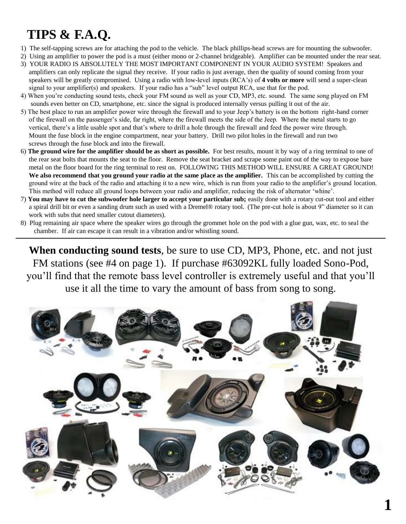### **TIPS & F.A.Q.**

- 1) The self-tapping screws are for attaching the pod to the vehicle. The black phillips-head screws are for mounting the subwoofer.
- 2) Using an amplifier to power the pod is a must (either mono or 2-channel bridgeable). Amplifier can be mounted under the rear seat.
- 3) YOUR RADIO IS ABSOLUTELY THE MOST IMPORTANT COMPONENT IN YOUR AUDIO SYSTEM! Speakers and amplifiers can only replicate the signal they receive. If your radio is just average, then the quality of sound coming from your speakers will be greatly compromised. Using a radio with low-level inputs (RCA's) of **4 volts or more** will send a super-clean signal to your amplifier(s) and speakers. If your radio has a "sub" level output RCA, use that for the pod.
- 4) When you're conducting sound tests, check your FM sound as well as your CD, MP3, etc. sound. The same song played on FM sounds even better on CD, smartphone, etc. since the signal is produced internally versus pulling it out of the air.
- 5) The best place to run an amplifier power wire through the firewall and to your Jeep's battery is on the bottom right-hand corner of the firewall on the passenger's side, far right, where the firewall meets the side of the Jeep. Where the metal starts to go vertical, there's a little usable spot and that's where to drill a hole through the firewall and feed the power wire through. Mount the fuse block in the engine compartment, near your battery. Drill two pilot holes in the firewall and run two screws through the fuse block and into the firewall.
- 6) **The ground wire for the amplifier should be as short as possible.** For best results, mount it by way of a ring terminal to one of the rear seat bolts that mounts the seat to the floor. Remove the seat bracket and scrape some paint out of the way to expose bare metal on the floor board for the ring terminal to rest on. FOLLOWING THIS METHOD WILL ENSURE A GREAT GROUND! **We also recommend that you ground your radio at the same place as the amplifier.** This can be accomplished by cutting the ground wire at the back of the radio and attaching it to a new wire, which is run from your radio to the amplifier's ground location. This method will reduce all ground loops between your radio and amplifier, reducing the risk of alternator 'whine'.
- 7) **You may have to cut the subwoofer hole larger to accept your particular sub;** easily done with a rotary cut-out tool and either a spiral drill bit or even a sanding drum such as used with a Dremel® rotary tool. (The pre-cut hole is about 9" diameter so it can work with subs that need smaller cutout diameters).
- 8) Plug remaining air space where the speaker wires go through the grommet hole on the pod with a glue gun, wax, etc. to seal the chamber. If air can escape it can result in a vibration and/or whistling sound.

**When conducting sound tests**, be sure to use CD, MP3, Phone, etc. and not just FM stations (see #4 on page 1). If purchase #63092KL fully loaded Sono-Pod, you'll find that the remote bass level controller is extremely useful and that you'll use it all the time to vary the amount of bass from song to song.

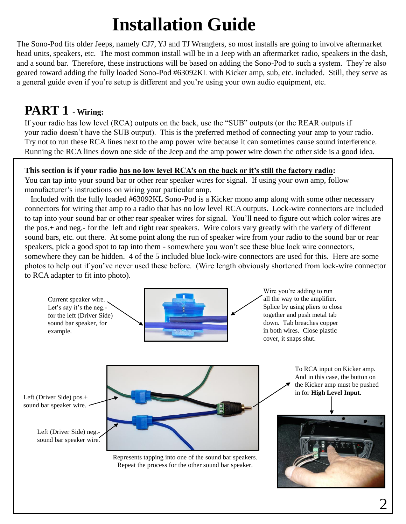# **Installation Guide**

The Sono-Pod fits older Jeeps, namely CJ7, YJ and TJ Wranglers, so most installs are going to involve aftermarket head units, speakers, etc. The most common install will be in a Jeep with an aftermarket radio, speakers in the dash, and a sound bar. Therefore, these instructions will be based on adding the Sono-Pod to such a system. They're also geared toward adding the fully loaded Sono-Pod #63092KL with Kicker amp, sub, etc. included. Still, they serve as a general guide even if you're setup is different and you're using your own audio equipment, etc.

### **PART 1 - Wiring:**

If your radio has low level (RCA) outputs on the back, use the "SUB" outputs (or the REAR outputs if your radio doesn't have the SUB output). This is the preferred method of connecting your amp to your radio. Try not to run these RCA lines next to the amp power wire because it can sometimes cause sound interference. Running the RCA lines down one side of the Jeep and the amp power wire down the other side is a good idea.

#### **This section is if your radio has no low level RCA's on the back or it's still the factory radio:**

You can tap into your sound bar or other rear speaker wires for signal. If using your own amp, follow manufacturer's instructions on wiring your particular amp.

Included with the fully loaded #63092KL Sono-Pod is a Kicker mono amp along with some other necessary connectors for wiring that amp to a radio that has no low level RCA outputs. Lock-wire connectors are included to tap into your sound bar or other rear speaker wires for signal. You'll need to figure out which color wires are the pos.+ and neg.- for the left and right rear speakers. Wire colors vary greatly with the variety of different sound bars, etc. out there. At some point along the run of speaker wire from your radio to the sound bar or rear speakers, pick a good spot to tap into them - somewhere you won't see these blue lock wire connectors, somewhere they can be hidden. 4 of the 5 included blue lock-wire connectors are used for this. Here are some photos to help out if you've never used these before. (Wire length obviously shortened from lock-wire connector to RCA adapter to fit into photo).

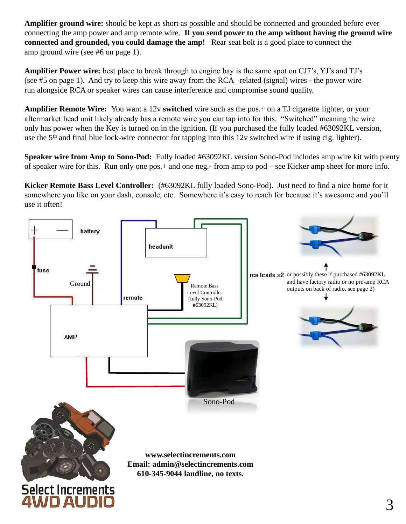**Amplifier ground wire:** should be kept as short as possible and should be connected and grounded before ever connecting the amp power and amp remote wire. **If you send power to the amp without having the ground wire connected and grounded, you could damage the amp!** Rear seat bolt is a good place to connect the amp ground wire (see #6 on page 1).

**Amplifier Power wire:** best place to break through to engine bay is the same spot on CJ7's, YJ's and TJ's (see #5 on page 1). And try to keep this wire away from the RCA –related (signal) wires - the power wire run alongside RCA or speaker wires can cause interference and compromise sound quality.

**Amplifier Remote Wire:** You want a 12v **switched** wire such as the pos.+ on a TJ cigarette lighter, or your aftermarket head unit likely already has a remote wire you can tap into for this. "Switched" meaning the wire only has power when the Key is turned on in the ignition. (If you purchased the fully loaded #63092KL version, use the 5<sup>th</sup> and final blue lock-wire connector for tapping into this 12v switched wire if using cig. lighter).

**Speaker wire from Amp to Sono-Pod:** Fully loaded #63092KL version Sono-Pod includes amp wire kit with plenty of speaker wire for this. Run only one pos.+ and one neg.- from amp to pod – see Kicker amp sheet for more info.

**Kicker Remote Bass Level Controller:** (#63092KL fully loaded Sono-Pod). Just need to find a nice home for it somewhere you like on your dash, console, etc. Somewhere it's easy to reach for because it's awesome and you'll use it often!

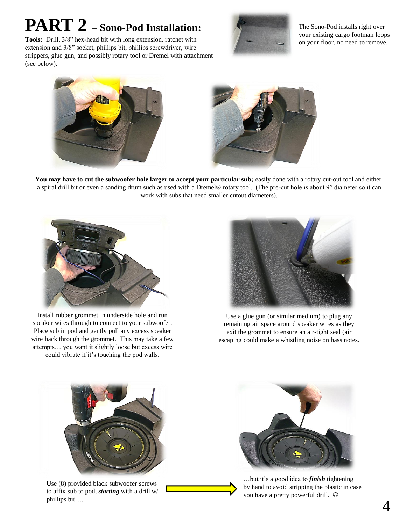## **PART 2 – Sono-Pod Installation:**



The Sono-Pod installs right over your existing cargo footman loops on your floor, no need to remove.

**Tools:** Drill, 3/8" hex-head bit with long extension, ratchet with extension and 3/8" socket, phillips bit, phillips screwdriver, wire strippers, glue gun, and possibly rotary tool or Dremel with attachment (see below).





You may have to cut the subwoofer hole larger to accept your particular sub; easily done with a rotary cut-out tool and either a spiral drill bit or even a sanding drum such as used with a Dremel® rotary tool. (The pre-cut hole is about 9" diameter so it can work with subs that need smaller cutout diameters).



Install rubber grommet in underside hole and run speaker wires through to connect to your subwoofer. Place sub in pod and gently pull any excess speaker wire back through the grommet. This may take a few attempts… you want it slightly loose but excess wire could vibrate if it's touching the pod walls.



Use a glue gun (or similar medium) to plug any remaining air space around speaker wires as they exit the grommet to ensure an air-tight seal (air escaping could make a whistling noise on bass notes.



Use (8) provided black subwoofer screws to affix sub to pod, *starting* with a drill w/ phillips bit….



…but it's a good idea to *finish* tightening by hand to avoid stripping the plastic in case you have a pretty powerful drill.  $©$